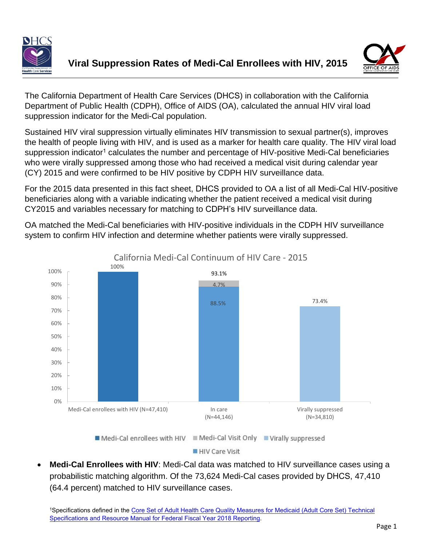



The California Department of Health Care Services (DHCS) in collaboration with the California Department of Public Health (CDPH), Office of AIDS (OA), calculated the annual HIV viral load suppression indicator for the Medi-Cal population.

Sustained HIV viral suppression virtually eliminates HIV transmission to sexual partner(s), improves the health of people living with HIV, and is used as a marker for health care quality. The HIV viral load suppression indicator<sup>1</sup> calculates the number and percentage of HIV-positive Medi-Cal beneficiaries who were virally suppressed among those who had received a medical visit during calendar year (CY) 2015 and were confirmed to be HIV positive by CDPH HIV surveillance data.

For the 2015 data presented in this fact sheet, DHCS provided to OA a list of all Medi-Cal HIV-positive beneficiaries along with a variable indicating whether the patient received a medical visit during CY2015 and variables necessary for matching to CDPH's HIV surveillance data.

OA matched the Medi-Cal beneficiaries with HIV-positive individuals in the CDPH HIV surveillance system to confirm HIV infection and determine whether patients were virally suppressed.



HIV Care Visit

• **Medi-Cal Enrollees with HIV**: Medi-Cal data was matched to HIV surveillance cases using a probabilistic matching algorithm. Of the 73,624 Medi-Cal cases provided by DHCS, 47,410 (64.4 percent) matched to HIV surveillance cases.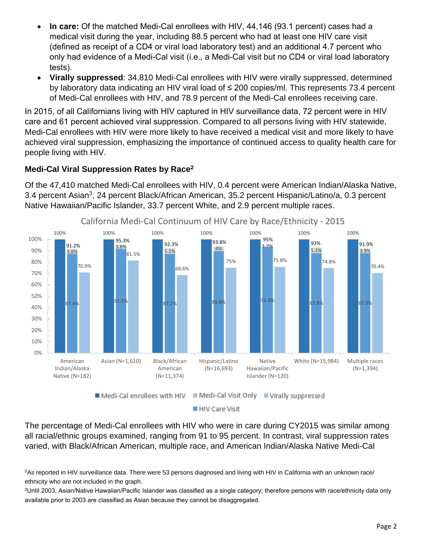- **In care:** Of the matched Medi-Cal enrollees with HIV, 44,146 (93.1 percent) cases had a medical visit during the year, including 88.5 percent who had at least one HIV care visit (defined as receipt of a CD4 or viral load laboratory test) and an additional 4.7 percent who only had evidence of a Medi-Cal visit (i.e., a Medi-Cal visit but no CD4 or viral load laboratory tests).
- **Virally suppressed**: 34,810 Medi-Cal enrollees with HIV were virally suppressed, determined by laboratory data indicating an HIV viral load of ≤ 200 copies/ml. This represents 73.4 percent of Medi-Cal enrollees with HIV, and 78.9 percent of the Medi-Cal enrollees receiving care.

In 2015, of all Californians living with HIV captured in HIV surveillance data, 72 percent were in HIV care and 61 percent achieved viral suppression. Compared to all persons living with HIV statewide, Medi-Cal enrollees with HIV were more likely to have received a medical visit and more likely to have achieved viral suppression, emphasizing the importance of continued access to quality health care for people living with HIV.

## **Medi-Cal Viral Suppression Rates by Race<sup>2</sup>**

Of the 47,410 matched Medi-Cal enrollees with HIV, 0.4 percent were American Indian/Alaska Native, 3.4 percent Asian<sup>3</sup>, 24 percent Black/African American, 35.2 percent Hispanic/Latino/a, 0.3 percent Native Hawaiian/Pacific Islander, 33.7 percent White, and 2.9 percent multiple races.



California Medi-Cal Continuum of HIV Care by Race/Ethnicity - 2015

HIV Care Visit

The percentage of Medi-Cal enrollees with HIV who were in care during CY2015 was similar among all racial/ethnic groups examined, ranging from 91 to 95 percent. In contrast, viral suppression rates varied, with Black/African American, multiple race, and American Indian/Alaska Native Medi-Cal

<sup>2</sup>As reported in HIV surveillance data. There were 53 persons diagnosed and living with HIV in California with an unknown race/ ethnicity who are not included in the graph.

<sup>3</sup>Until 2003, Asian/Native Hawaiian/Pacific Islander was classified as a single category; therefore persons with race/ethnicity data only available prior to 2003 are classified as Asian because they cannot be disaggregated.